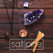